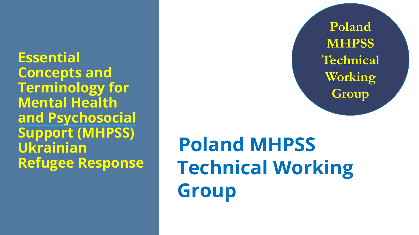**Essential Concepts and Terminology for Mental Health and Psychosocial Support (MHPSS) Ukrainian Refugee Response**

**Poland MHPSS Technical Working Group**

**Poland MHPSS Technical Working Group**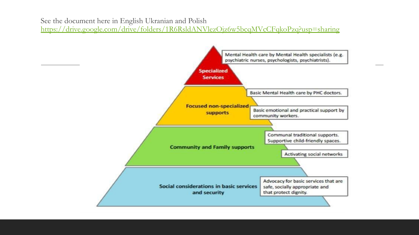See the document here in English Ukranian and Polish

<https://drive.google.com/drive/folders/1R6RsldANVlezOjz6w5bcqMVcCFqkoPzq?usp=sharing>

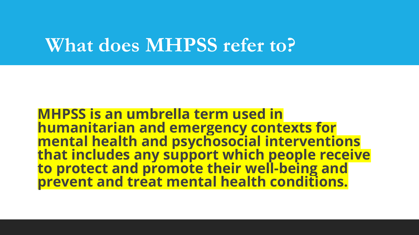### **What does MHPSS refer to?**

**MHPSS is an umbrella term used in mental health and psychosocial interventions that includes any support which people receive to protect and promote their well-being and prevent and treat mental health conditions.**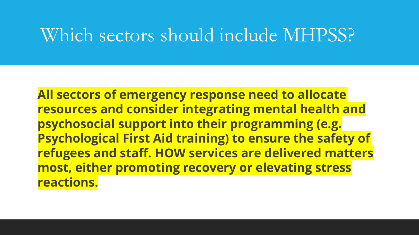### Which sectors should include MHPSS?

**All sectors of emergency response need to allocate resources and consider integrating mental health and psychosocial support into their programming (e.g. Psychological First Aid training) to ensure the safety of refugees and staff. HOW services are delivered matters most, either promoting recovery or elevating stress reactions.**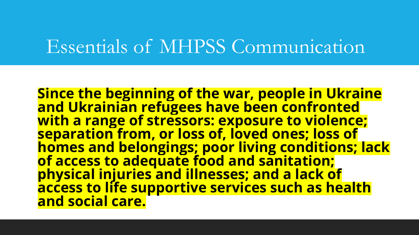### Essentials of MHPSS Communication

**Since the beginning of the war, people in Ukraine and Ukrainian refugees have been confronted with a range of stressors: exposure to violence; separation from, or loss of, loved ones; loss of homes and belongings; poor living conditions; lack of access to adequate food and sanitation; physical injuries and illnesses; and a lack of access to life supportive services such as health and social care.**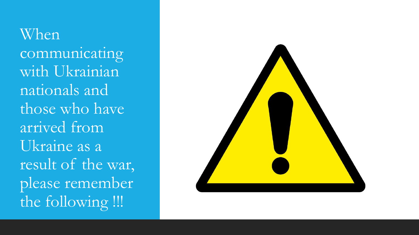When communicating with Ukrainian nationals and those who have arrived from Ukraine as a result of the war, please remember the following !!!

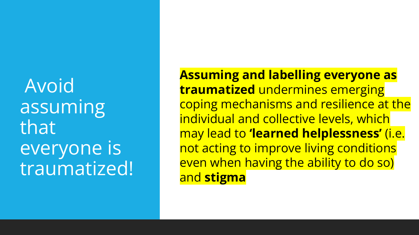Avoid assuming that everyone is traumatized! **Assuming and labelling everyone as traumatized** undermines emerging coping mechanisms and resilience at the individual and collective levels, which may lead to **'learned helplessness'** (i.e. not acting to improve living conditions even when having the ability to do so) and **stigma**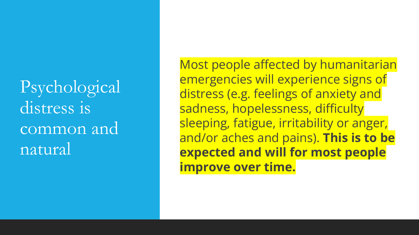Psychological distress is common and natural

Most people affected by humanitarian emergencies will experience signs of distress (e.g. feelings of anxiety and sadness, hopelessness, difficulty sleeping, fatigue, irritability or anger, and/or aches and pains). **This is to be expected and will for most people improve over time.**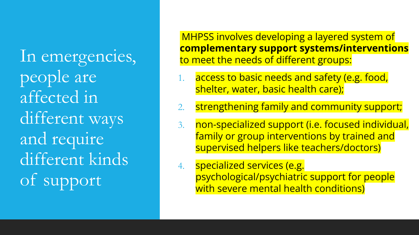In emergencies, people are affected in different ways and require different kinds of support

MHPSS involves developing a layered system of **complementary support systems/interventions** to meet the needs of different groups:

- access to basic needs and safety (e.g. food, shelter, water, basic health care);
- 2. strengthening family and community support;
- 3. non-specialized support (i.e. focused individual, family or group interventions by trained and supervised helpers like teachers/doctors)
- 4. specialized services (e.g. psychological/psychiatric support for people with severe mental health conditions)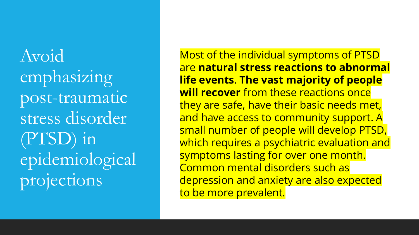Avoid emphasizing post-traumatic stress disorder (PTSD) in epidemiological projections

Most of the individual symptoms of PTSD are **natural stress reactions to abnormal life events**. **The vast majority of people will recover** from these reactions once they are safe, have their basic needs met, and have access to community support. A small number of people will develop PTSD, which requires a psychiatric evaluation and symptoms lasting for over one month. Common mental disorders such as depression and anxiety are also expected to be more prevalent.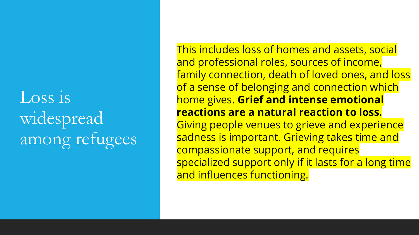### Loss is widespread among refugees

This includes loss of homes and assets, social and professional roles, sources of income, family connection, death of loved ones, and loss of a sense of belonging and connection which home gives. **Grief and intense emotional reactions are a natural reaction to loss.** Giving people venues to grieve and experience sadness is important. Grieving takes time and compassionate support, and requires specialized support only if it lasts for a long time and influences functioning.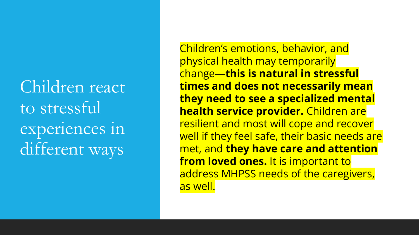Children react to stressful experiences in different ways

Children's emotions, behavior, and physical health may temporarily change—**this is natural in stressful times and does not necessarily mean they need to see a specialized mental health service provider.** Children are resilient and most will cope and recover well if they feel safe, their basic needs are met, and **they have care and attention from loved ones.** It is important to address MHPSS needs of the caregivers, as well.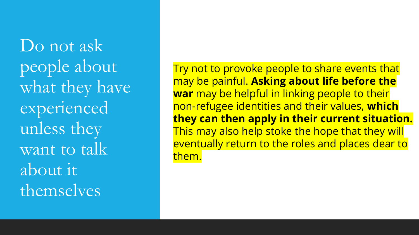Do not ask people about what they have experienced unless they want to talk about it themselves

Try not to provoke people to share events that may be painful. **Asking about life before the war** may be helpful in linking people to their non-refugee identities and their values, **which they can then apply in their current situation.** This may also help stoke the hope that they will eventually return to the roles and places dear to them.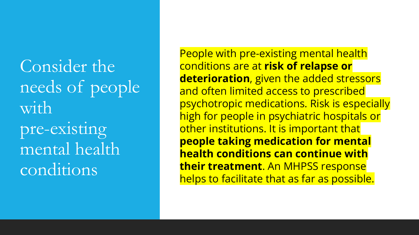Consider the needs of people with pre-existing mental health conditions

People with pre-existing mental health conditions are at **risk of relapse or deterioration**, given the added stressors and often limited access to prescribed psychotropic medications. Risk is especially high for people in psychiatric hospitals or other institutions. It is important that **people taking medication for mental health conditions can continue with their treatment**. An MHPSS response helps to facilitate that as far as possible.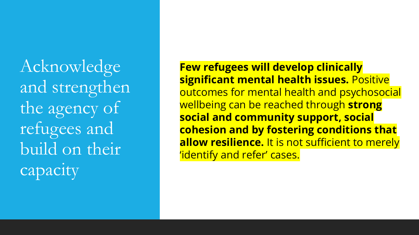Acknowledge and strengthen the agency of refugees and build on their capacity

**Few refugees will develop clinically significant mental health issues.** Positive outcomes for mental health and psychosocial wellbeing can be reached through **strong social and community support, social cohesion and by fostering conditions that allow resilience.** It is not sufficient to merely 'identify and refer' cases.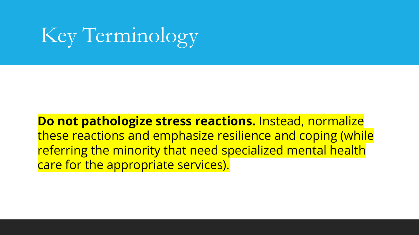**Do not pathologize stress reactions.** Instead, normalize these reactions and emphasize resilience and coping (while referring the minority that need specialized mental health care for the appropriate services).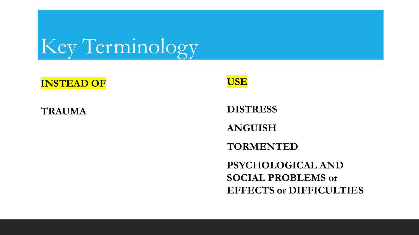#### **INSTEAD OF**

#### **TRAUMA**



**DISTRESS**

**ANGUISH**

**TORMENTED**

**PSYCHOLOGICAL AND SOCIAL PROBLEMS or EFFECTS or DIFFICULTIES**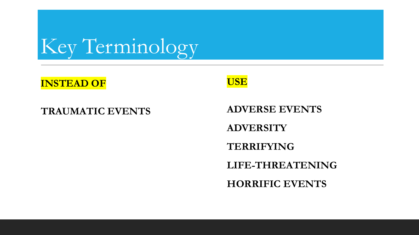#### **INSTEAD OF**

#### **TRAUMATIC EVENTS**



**ADVERSE EVENTS ADVERSITY TERRIFYING LIFE-THREATENING HORRIFIC EVENTS**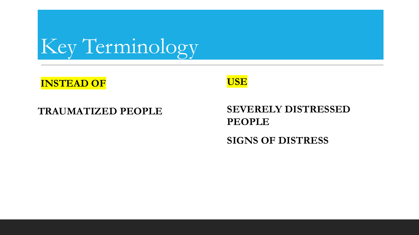#### **INSTEAD OF**

#### **TRAUMATIZED PEOPLE**

#### **USE**

#### **SEVERELY DISTRESSED PEOPLE SIGNS OF DISTRESS**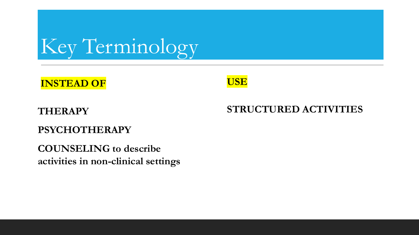

#### **USE**

#### **THERAPY**

#### **PSYCHOTHERAPY**

**COUNSELING to describe activities in non-clinical settings**

#### **STRUCTURED ACTIVITIES**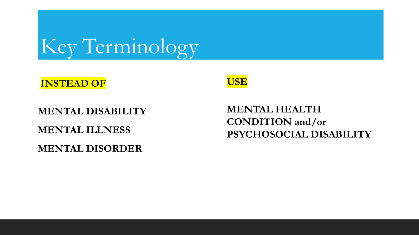#### **INSTEAD OF**

### **MENTAL DISABILITY MENTAL ILLNESS**

**MENTAL DISORDER**



#### **MENTAL HEALTH CONDITION and/or PSYCHOSOCIAL DISABILITY**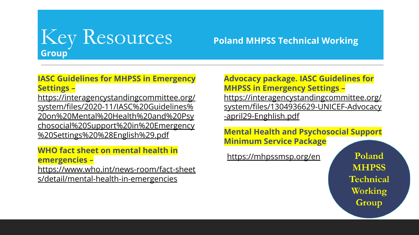

#### **IASC Guidelines for MHPSS in Emergency Settings –**

https://interagencystandingcommittee.org/ system/files/2020-11/IASC%20Guidelines% 20on%20Mental%20Health%20and%20Psy chosocial%20Support%20in%20Emergency %20Settings%20%28English%29.pdf

#### **WHO fact sheet on mental health in emergencies –**

https://www.who.int/news-room/fact-sheet s/detail/mental-health-in-emergencies

#### **Advocacy package. IASC Guidelines for MHPSS in Emergency Settings –**

https://interagencystandingcommittee.org/ system/files/1304936629-UNICEF-Advocacy -april29-Enghlish.pdf

**Mental Health and Psychosocial Support Minimum Service Package**

https://mhpssmsp.org/en

Poland **MHPSS Technical** Working Group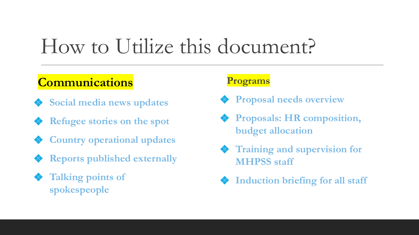### How to Utilize this document?

### **Communications**

- ❖ **Social media news updates**
- ❖ **Refugee stories on the spot**
- ❖ **Country operational updates**
- ❖ **Reports published externally**
- ❖ **Talking points of spokespeople**

#### **Programs**

- ❖ **Proposal needs overview**
- ❖ **Proposals: HR composition, budget allocation**
- ❖ **Training and supervision for MHPSS staff**
- ❖ **Induction briefing for all staff**